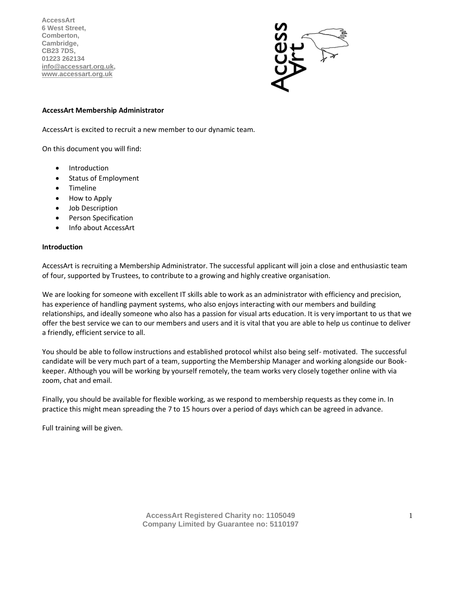**AccessArt 6 West Street, Comberton, Cambridge, CB23 7DS, 01223 262134 [info@accessart.org.uk,](mailto:Info@accessart.org.uk) [www.accessart.org.uk](http://www.accessart.org.uk/)**

#### **AccessArt Membership Administrator**

AccessArt is excited to recruit a new member to our dynamic team.

On this document you will find:

- Introduction
- Status of Employment
- Timeline
- How to Apply
- Job Description
- Person Specification
- Info about AccessArt

#### **Introduction**

AccessArt is recruiting a Membership Administrator. The successful applicant will join a close and enthusiastic team of four, supported by Trustees, to contribute to a growing and highly creative organisation.

We are looking for someone with excellent IT skills able to work as an administrator with efficiency and precision, has experience of handling payment systems, who also enjoys interacting with our members and building relationships, and ideally someone who also has a passion for visual arts education. It is very important to us that we offer the best service we can to our members and users and it is vital that you are able to help us continue to deliver a friendly, efficient service to all.

You should be able to follow instructions and established protocol whilst also being self- motivated. The successful candidate will be very much part of a team, supporting the Membership Manager and working alongside our Bookkeeper. Although you will be working by yourself remotely, the team works very closely together online with via zoom, chat and email.

Finally, you should be available for flexible working, as we respond to membership requests as they come in. In practice this might mean spreading the 7 to 15 hours over a period of days which can be agreed in advance.

Full training will be given.

**AccessArt Registered Charity no: 1105049 Company Limited by Guarantee no: 5110197**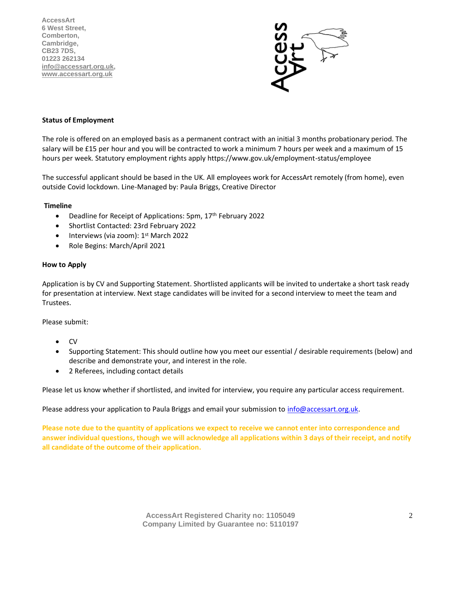**AccessArt 6 West Street, Comberton, Cambridge, CB23 7DS, 01223 262134 [info@accessart.org.uk,](mailto:Info@accessart.org.uk) [www.accessart.org.uk](http://www.accessart.org.uk/)**



# **Status of Employment**

The role is offered on an employed basis as a permanent contract with an initial 3 months probationary period. The salary will be £15 per hour and you will be contracted to work a minimum 7 hours per week and a maximum of 15 hours per week. Statutory employment rights apply https://www.gov.uk/employment-status/employee

The successful applicant should be based in the UK. All employees work for AccessArt remotely (from home), even outside Covid lockdown. Line-Managed by: Paula Briggs, Creative Director

#### **Timeline**

- Deadline for Receipt of Applications: 5pm, 17<sup>th</sup> February 2022
- Shortlist Contacted: 23rd February 2022
- Interviews (via zoom): 1<sup>st</sup> March 2022
- Role Begins: March/April 2021

## **How to Apply**

Application is by CV and Supporting Statement. Shortlisted applicants will be invited to undertake a short task ready for presentation at interview. Next stage candidates will be invited for a second interview to meet the team and Trustees.

Please submit:

- CV
- Supporting Statement: This should outline how you meet our essential / desirable requirements (below) and describe and demonstrate your, and interest in the role.
- 2 Referees, including contact details

Please let us know whether if shortlisted, and invited for interview, you require any particular access requirement.

Please address your application to Paula Briggs and email your submission t[o info@accessart.org.uk.](mailto:info@accessart.org.uk)

**Please note due to the quantity of applications we expect to receive we cannot enter into correspondence and answer individual questions, though we will acknowledge all applications within 3 days of their receipt, and notify all candidate of the outcome of their application.** 

> **AccessArt Registered Charity no: 1105049 Company Limited by Guarantee no: 5110197**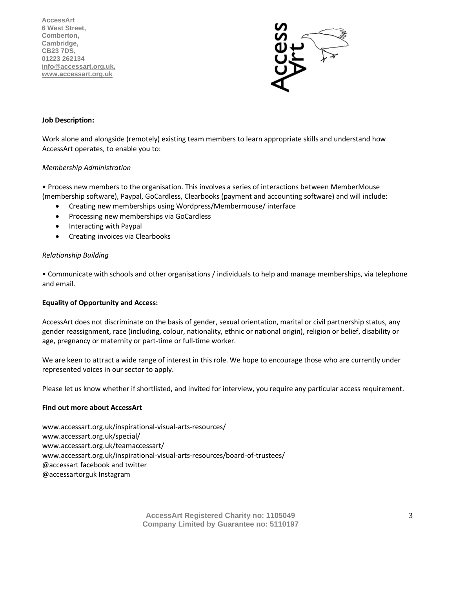**AccessArt 6 West Street, Comberton, Cambridge, CB23 7DS, 01223 262134 [info@accessart.org.uk,](mailto:Info@accessart.org.uk) [www.accessart.org.uk](http://www.accessart.org.uk/)**



## **Job Description:**

Work alone and alongside (remotely) existing team members to learn appropriate skills and understand how AccessArt operates, to enable you to:

## *Membership Administration*

• Process new members to the organisation. This involves a series of interactions between MemberMouse (membership software), Paypal, GoCardless, Clearbooks (payment and accounting software) and will include:

- Creating new memberships using Wordpress/Membermouse/ interface
- Processing new memberships via GoCardless
- Interacting with Paypal
- Creating invoices via Clearbooks

## *Relationship Building*

• Communicate with schools and other organisations / individuals to help and manage memberships, via telephone and email.

#### **Equality of Opportunity and Access:**

AccessArt does not discriminate on the basis of gender, sexual orientation, marital or civil partnership status, any gender reassignment, race (including, colour, nationality, ethnic or national origin), religion or belief, disability or age, pregnancy or maternity or part-time or full-time worker.

We are keen to attract a wide range of interest in this role. We hope to encourage those who are currently under represented voices in our sector to apply.

Please let us know whether if shortlisted, and invited for interview, you require any particular access requirement.

#### **Find out more about AccessArt**

www.accessart.org.uk/inspirational-visual-arts-resources/ www.accessart.org.uk/special/ www.accessart.org.uk/teamaccessart/ www.accessart.org.uk/inspirational-visual-arts-resources/board-of-trustees/ @accessart facebook and twitter @accessartorguk Instagram

> **AccessArt Registered Charity no: 1105049 Company Limited by Guarantee no: 5110197**